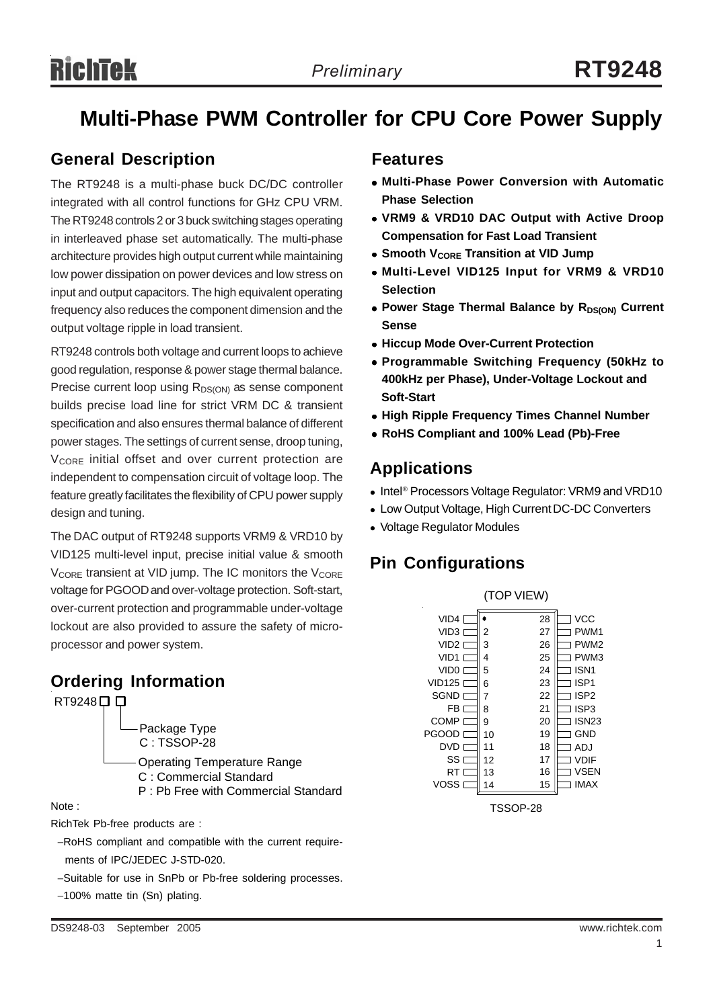## **Multi-Phase PWM Controller for CPU Core Power Supply**

### **General Description**

The RT9248 is a multi-phase buck DC/DC controller integrated with all control functions for GHz CPU VRM. The RT9248 controls 2 or 3 buck switching stages operating in interleaved phase set automatically. The multi-phase architecture provides high output current while maintaining low power dissipation on power devices and low stress on input and output capacitors. The high equivalent operating frequency also reduces the component dimension and the output voltage ripple in load transient.

RT9248 controls both voltage and current loops to achieve good regulation, response & power stage thermal balance. Precise current loop using  $R_{DS(ON)}$  as sense component builds precise load line for strict VRM DC & transient specification and also ensures thermal balance of different power stages. The settings of current sense, droop tuning, V<sub>CORE</sub> initial offset and over current protection are independent to compensation circuit of voltage loop. The feature greatly facilitates the flexibility of CPU power supply design and tuning.

The DAC output of RT9248 supports VRM9 & VRD10 by VID125 multi-level input, precise initial value & smooth  $V_{\text{CORF}}$  transient at VID jump. The IC monitors the  $V_{\text{CORF}}$ voltage for PGOOD and over-voltage protection. Soft-start, over-current protection and programmable under-voltage lockout are also provided to assure the safety of microprocessor and power system.

### **Ordering Information**



RichTek Pb-free products are :

- −RoHS compliant and compatible with the current require ments of IPC/JEDEC J-STD-020.
- −Suitable for use in SnPb or Pb-free soldering processes.
- −100% matte tin (Sn) plating.

### **Features**

- <sup>z</sup> **Multi-Phase Power Conversion with Automatic Phase Selection**
- <sup>z</sup> **VRM9 & VRD10 DAC Output with Active Droop Compensation for Fast Load Transient**
- **Smooth VCORE Transition at VID Jump**
- **Multi-Level VID125 Input for VRM9 & VRD10 Selection**
- Power Stage Thermal Balance by R<sub>DS(ON)</sub> Current **Sense**
- **Hiccup Mode Over-Current Protection**
- <sup>z</sup> **Programmable Switching Frequency (50kHz to 400kHz per Phase), Under-Voltage Lockout and Soft-Start**
- **High Ripple Frequency Times Channel Number**
- <sup>z</sup> **RoHS Compliant and 100% Lead (Pb)-Free**

### **Applications**

- Intel<sup>®</sup> Processors Voltage Regulator: VRM9 and VRD10
- Low Output Voltage, High Current DC-DC Converters
- Voltage Regulator Modules

### **Pin Configurations**



TSSOP-28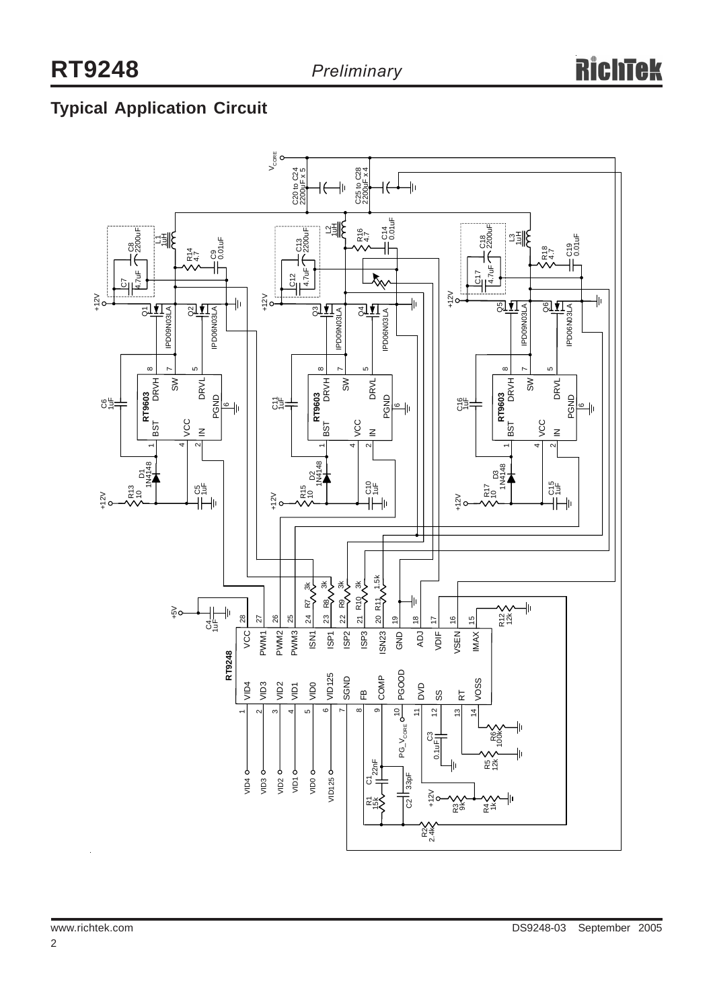## **Typical Application Circuit**

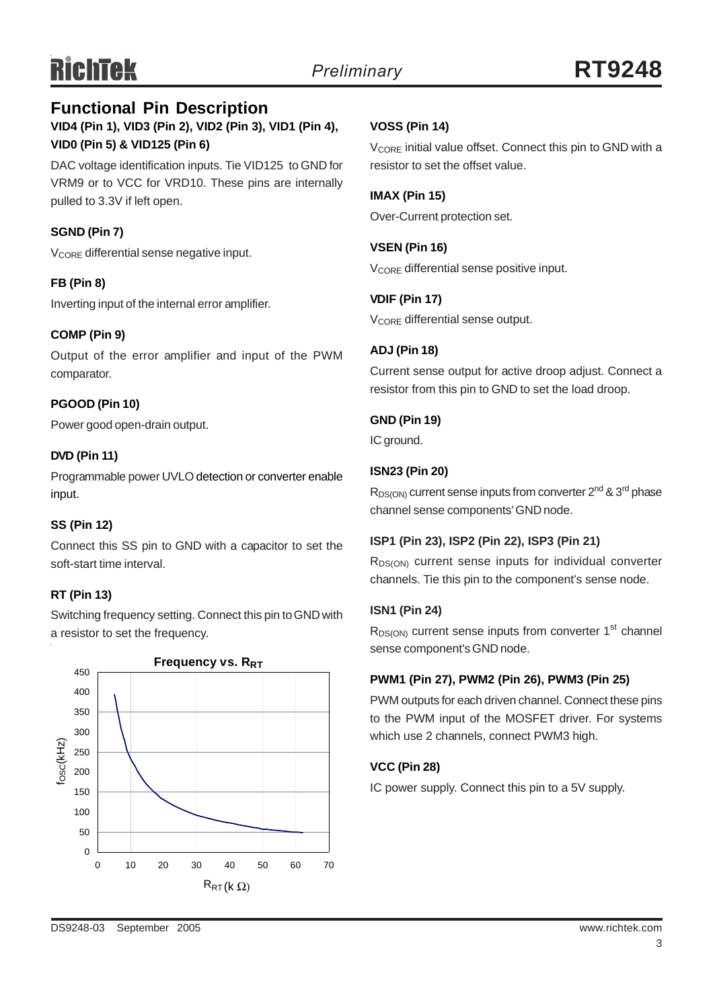#### **VID4 (Pin 1), VID3 (Pin 2), VID2 (Pin 3), VID1 (Pin 4), VID0 (Pin 5) & VID125 (Pin 6) Functional Pin Description**

DAC voltage identification inputs. Tie VID125 to GND for VRM9 or to VCC for VRD10. These pins are internally pulled to 3.3V if left open.

#### **SGND (Pin 7)**

V<sub>CORE</sub> differential sense negative input.

#### **FB (Pin 8)**

Inverting input of the internal error amplifier.

#### **COMP (Pin 9)**

Output of the error amplifier and input of the PWM comparator.

#### **PGOOD (Pin 10)**

Power good open-drain output.

#### **DVD (Pin 11)**

Programmable power UVLO detection or converter enable input.

#### **SS (Pin 12)**

Connect this SS pin to GND with a capacitor to set the soft-start time interval.

#### **RT (Pin 13)**

Switching frequency setting. Connect this pin to GND with a resistor to set the frequency.



#### **VOSS (Pin 14)**

 $V_{\text{CORF}}$  initial value offset. Connect this pin to GND with a resistor to set the offset value.

#### **IMAX (Pin 15)**

Over-Current protection set.

**VSEN (Pin 16)** V<sub>CORE</sub> differential sense positive input.

**VDIF (Pin 17)** V<sub>CORE</sub> differential sense output.

#### **ADJ (Pin 18)**

Current sense output for active droop adjust. Connect a resistor from this pin to GND to set the load droop.

#### **GND (Pin 19)**

IC around.

#### **ISN23 (Pin 20)**

 $R_{DS(ON)}$  current sense inputs from converter  $2^{nd}$  &  $3^{rd}$  phase channel sense components' GND node.

#### **ISP1 (Pin 23), ISP2 (Pin 22), ISP3 (Pin 21)**

R<sub>DS(ON)</sub> current sense inputs for individual converter channels. Tie this pin to the component's sense node.

#### **ISN1 (Pin 24)**

 $R_{DS(ON)}$  current sense inputs from converter 1<sup>st</sup> channel sense component's GND node.

#### **PWM1 (Pin 27), PWM2 (Pin 26), PWM3 (Pin 25)**

PWM outputs for each driven channel. Connect these pins to the PWM input of the MOSFET driver. For systems which use 2 channels, connect PWM3 high.

#### **VCC (Pin 28)**

IC power supply. Connect this pin to a 5V supply.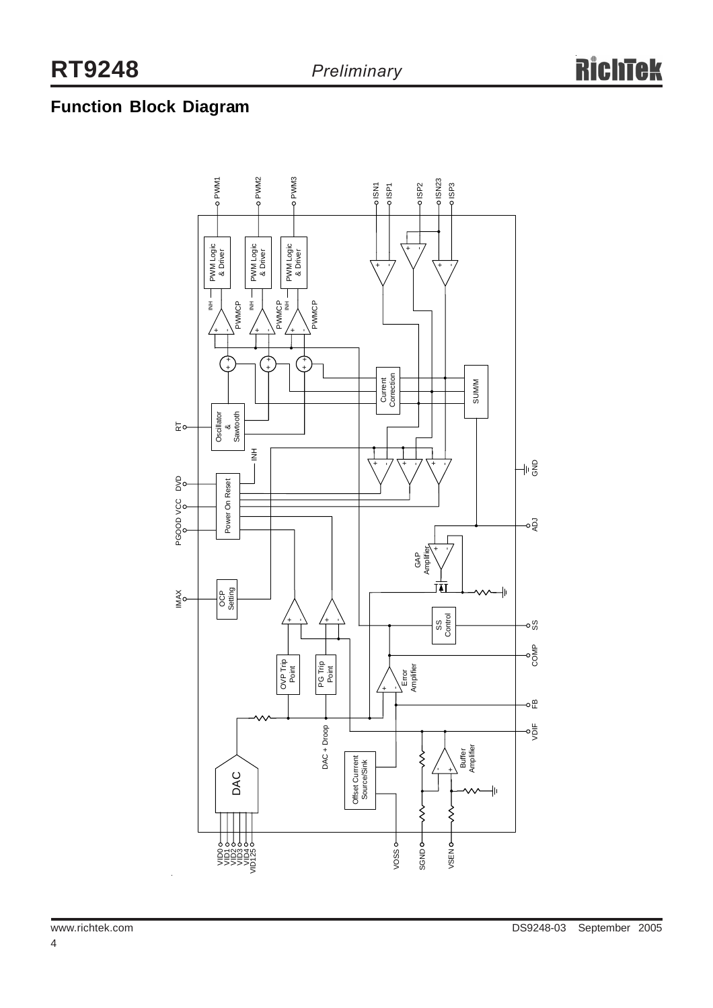## **Function Block Diagram**

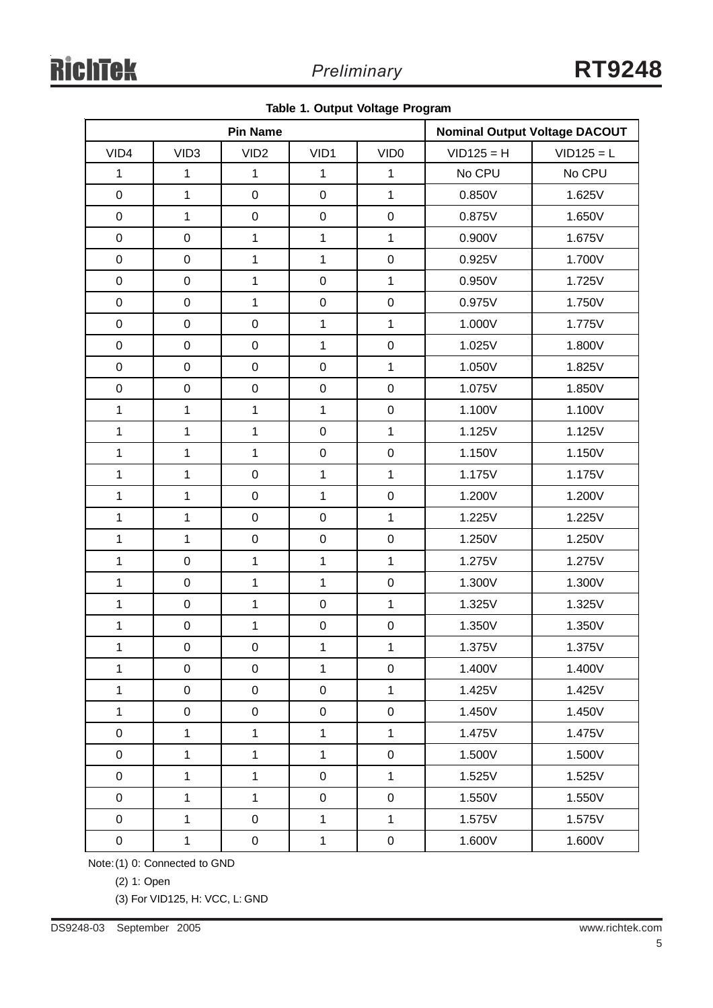|  |  |  |  | Table 1. Output Voltage Program |
|--|--|--|--|---------------------------------|
|--|--|--|--|---------------------------------|

| <b>Pin Name</b> |                  |                  | <b>Nominal Output Voltage DACOUT</b> |                     |              |              |
|-----------------|------------------|------------------|--------------------------------------|---------------------|--------------|--------------|
| VID4            | VID <sub>3</sub> | VID <sub>2</sub> | VID1                                 | VID <sub>0</sub>    | $VID125 = H$ | $VID125 = L$ |
| $\mathbf{1}$    | $\mathbf{1}$     | $\mathbf{1}$     | $\mathbf{1}$                         | $\mathbf{1}$        | No CPU       | No CPU       |
| $\mathbf 0$     | $\mathbf{1}$     | $\mathbf 0$      | $\pmb{0}$                            | $\mathbf{1}$        | 0.850V       | 1.625V       |
| $\mathbf 0$     | $\mathbf{1}$     | $\pmb{0}$        | $\mathbf 0$                          | $\mathbf 0$         | 0.875V       | 1.650V       |
| $\mathbf 0$     | $\pmb{0}$        | $\mathbf{1}$     | $\mathbf{1}$                         | $\overline{1}$      | 0.900V       | 1.675V       |
| $\mathbf 0$     | $\mathsf 0$      | $\mathbf{1}$     | $\mathbf{1}$                         | $\pmb{0}$           | 0.925V       | 1.700V       |
| $\pmb{0}$       | $\boldsymbol{0}$ | $\mathbf{1}$     | $\pmb{0}$                            | $\mathbf{1}$        | 0.950V       | 1.725V       |
| $\mathbf 0$     | $\mathbf 0$      | $\mathbf{1}$     | $\mathbf 0$                          | $\mathbf 0$         | 0.975V       | 1.750V       |
| $\mathbf 0$     | $\mathsf 0$      | $\mathbf 0$      | $\mathbf{1}$                         | $\overline{1}$      | 1.000V       | 1.775V       |
| $\mathbf 0$     | $\mathsf 0$      | $\pmb{0}$        | $\mathbf{1}$                         | $\mathbf 0$         | 1.025V       | 1.800V       |
| $\mathbf 0$     | $\boldsymbol{0}$ | $\mathbf 0$      | $\pmb{0}$                            | $\mathbf{1}$        | 1.050V       | 1.825V       |
| $\mathbf 0$     | $\boldsymbol{0}$ | $\boldsymbol{0}$ | $\mathbf 0$                          | $\mathbf 0$         | 1.075V       | 1.850V       |
| $\mathbf{1}$    | $\mathbf{1}$     | $\mathbf{1}$     | $\mathbf{1}$                         | $\mathbf 0$         | 1.100V       | 1.100V       |
| $\mathbf{1}$    | $\mathbf{1}$     | $\mathbf{1}$     | $\pmb{0}$                            | $\overline{1}$      | 1.125V       | 1.125V       |
| $\mathbf{1}$    | $\mathbf 1$      | $\mathbf{1}$     | $\mathbf 0$                          | $\mathsf{O}\xspace$ | 1.150V       | 1.150V       |
| $\mathbf{1}$    | $\mathbf{1}$     | $\boldsymbol{0}$ | $\mathbf{1}$                         | $\mathbf{1}$        | 1.175V       | 1.175V       |
| $\mathbf{1}$    | $\mathbf{1}$     | $\mathbf 0$      | $\mathbf{1}$                         | $\mathbf 0$         | 1.200V       | 1.200V       |
| $\mathbf{1}$    | $\mathbf{1}$     | $\mathbf 0$      | $\pmb{0}$                            | $\overline{1}$      | 1.225V       | 1.225V       |
| $\mathbf{1}$    | $\mathbf{1}$     | $\mathbf 0$      | $\mathbf 0$                          | $\mathsf{O}\xspace$ | 1.250V       | 1.250V       |
| $\mathbf{1}$    | $\mathbf 0$      | $\mathbf{1}$     | $\mathbf{1}$                         | $\overline{1}$      | 1.275V       | 1.275V       |
| $\mathbf{1}$    | $\pmb{0}$        | $\mathbf{1}$     | $\mathbf{1}$                         | $\mathbf 0$         | 1.300V       | 1.300V       |
| $\mathbf{1}$    | $\mathsf 0$      | $\mathbf{1}$     | $\pmb{0}$                            | $\overline{1}$      | 1.325V       | 1.325V       |
| $\mathbf 1$     | $\pmb{0}$        | $\mathbf{1}$     | $\pmb{0}$                            | $\mathbf 0$         | 1.350V       | 1.350V       |
| $\mathbf{1}$    | $\mathbf 0$      | $\boldsymbol{0}$ | $\mathbf{1}$                         | 1                   | 1.375V       | 1.375V       |
| $\mathbf{1}$    | $\pmb{0}$        | $\pmb{0}$        | $\mathbf{1}$                         | $\mathbf 0$         | 1.400V       | 1.400V       |
| $\mathbf{1}$    | $\mathsf 0$      | $\pmb{0}$        | $\pmb{0}$                            | $\overline{1}$      | 1.425V       | 1.425V       |
| $\mathbf{1}$    | $\pmb{0}$        | $\mathbf 0$      | $\pmb{0}$                            | $\mathbf 0$         | 1.450V       | 1.450V       |
| $\pmb{0}$       | $\mathbf{1}$     | $\mathbf{1}$     | $\mathbf 1$                          | $\mathbf{1}$        | 1.475V       | 1.475V       |
| $\mathbf 0$     | $\mathbf{1}$     | $\mathbf{1}$     | $\mathbf 1$                          | $\mathbf 0$         | 1.500V       | 1.500V       |
| $\pmb{0}$       | $\mathbf{1}$     | $\mathbf{1}$     | $\pmb{0}$                            | $\overline{1}$      | 1.525V       | 1.525V       |
| $\pmb{0}$       | $\mathbf{1}$     | $\mathbf{1}$     | $\mathsf 0$                          | $\mathsf 0$         | 1.550V       | 1.550V       |
| $\mathbf 0$     | $\mathbf{1}$     | $\pmb{0}$        | $\mathbf{1}$                         | $\mathbf 1$         | 1.575V       | 1.575V       |
| $\pmb{0}$       | $\mathbf{1}$     | ${\bf 0}$        | $\mathbf{1}$                         | $\pmb{0}$           | 1.600V       | 1.600V       |

Note:(1) 0: Connected to GND

(2) 1: Open

(3) For VID125, H: VCC, L: GND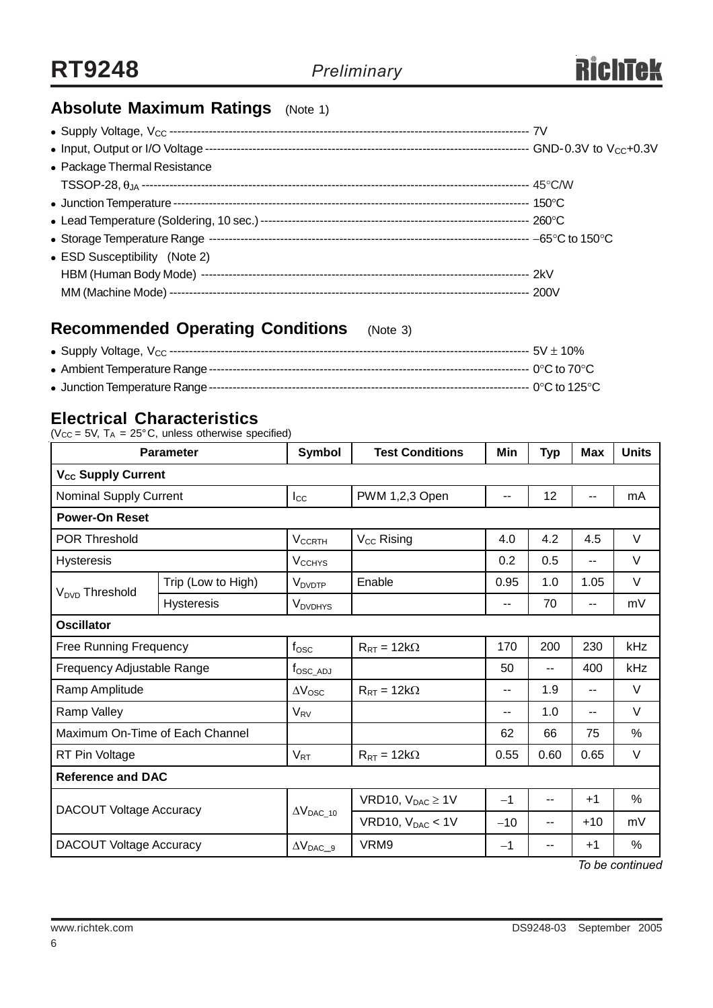

### **Absolute Maximum Ratings** (Note 1)

| • Package Thermal Resistance  |  |
|-------------------------------|--|
|                               |  |
|                               |  |
|                               |  |
|                               |  |
| • ESD Susceptibility (Note 2) |  |
|                               |  |
|                               |  |

### **Recommended Operating Conditions** (Note 3)

### **Electrical Characteristics**

( $V_{CC}$  = 5V,  $T_A$  = 25°C, unless otherwise specified)

| <b>Parameter</b>                |                    | Symbol                     | <b>Test Conditions</b>  | Min   | <b>Typ</b> | <b>Max</b>               | <b>Units</b> |
|---------------------------------|--------------------|----------------------------|-------------------------|-------|------------|--------------------------|--------------|
| V <sub>cc</sub> Supply Current  |                    |                            |                         |       |            |                          |              |
| <b>Nominal Supply Current</b>   |                    | $I_{\rm CC}$               | PWM 1,2,3 Open          | --    | 12         | --                       | mA           |
| <b>Power-On Reset</b>           |                    |                            |                         |       |            |                          |              |
| <b>POR Threshold</b>            |                    | <b>V<sub>CCRTH</sub></b>   | V <sub>CC</sub> Rising  | 4.0   | 4.2        | 4.5                      | $\vee$       |
| <b>Hysteresis</b>               |                    | <b>V<sub>CCHYS</sub></b>   |                         | 0.2   | 0.5        | $-$                      | $\vee$       |
| V <sub>DVD</sub> Threshold      | Trip (Low to High) | <b>V</b> <sub>DVDTP</sub>  | Enable                  | 0.95  | 1.0        | 1.05                     | $\vee$       |
|                                 | <b>Hysteresis</b>  | <b>V</b> <sub>DVDHYS</sub> |                         | --    | 70         | $\overline{\phantom{a}}$ | mV           |
| <b>Oscillator</b>               |                    |                            |                         |       |            |                          |              |
| <b>Free Running Frequency</b>   |                    | $f_{\rm{OSC}}$             | $R_{RT} = 12k\Omega$    | 170   | 200        | 230                      | kHz          |
| Frequency Adjustable Range      |                    | $f_{\rm OSC}\_{\rm ADJ}$   |                         | 50    | --         | 400                      | kHz          |
| Ramp Amplitude                  |                    | $\Delta V_{\rm{OSC}}$      | $R_{RT} = 12k\Omega$    | --    | 1.9        | $-$                      | $\vee$       |
| Ramp Valley                     |                    | $V_{\rm RV}$               |                         | $-$   | 1.0        | $-$                      | $\vee$       |
| Maximum On-Time of Each Channel |                    |                            |                         | 62    | 66         | 75                       | %            |
| RT Pin Voltage                  |                    | $V_{RT}$                   | $R_{RT} = 12k\Omega$    | 0.55  | 0.60       | 0.65                     | $\vee$       |
| <b>Reference and DAC</b>        |                    |                            |                         |       |            |                          |              |
| DACOUT Voltage Accuracy         |                    |                            | VRD10, $V_{DAC} \ge 1V$ | $-1$  | --         | $+1$                     | %            |
|                                 |                    | $\Delta V_{DAC\_10}$       | VRD10, $V_{DAC}$ < 1V   | $-10$ | --         | $+10$                    | mV           |
| <b>DACOUT Voltage Accuracy</b>  |                    | $\Delta V_{DAC\_9}$        | VRM9                    | $-1$  | --         | $+1$                     | %            |

*To be continued*

6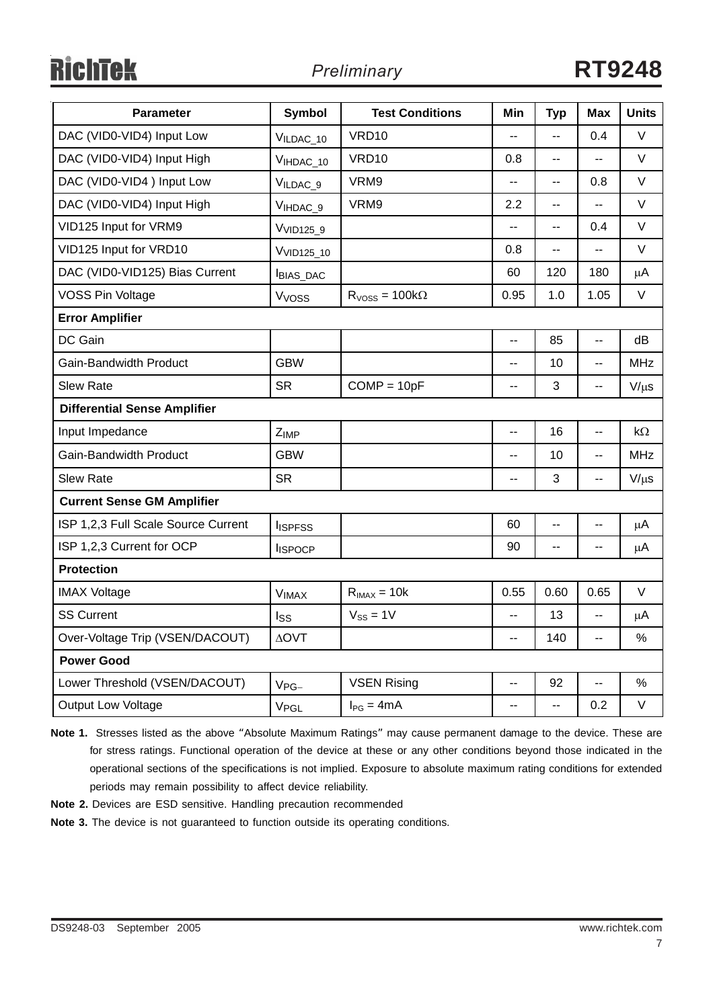# **RichTek**

| <b>Parameter</b>                    | <b>Symbol</b>          | <b>Test Conditions</b> | Min            | <b>Typ</b>               | Max            | <b>Units</b> |  |  |  |
|-------------------------------------|------------------------|------------------------|----------------|--------------------------|----------------|--------------|--|--|--|
| DAC (VID0-VID4) Input Low           | VILDAC_10              | <b>VRD10</b>           |                | $\overline{a}$           | 0.4            | $\vee$       |  |  |  |
| DAC (VID0-VID4) Input High          | VIHDAC_10              | <b>VRD10</b>           | 0.8            | $\overline{a}$           | Ξ.             | V            |  |  |  |
| DAC (VID0-VID4) Input Low           | VILDAC 9               | VRM9                   | --             | $-$                      | 0.8            | V            |  |  |  |
| DAC (VID0-VID4) Input High          | VIHDAC <sub>_9</sub>   | VRM9                   | 2.2            | Ξ.                       | Ξ.             | $\vee$       |  |  |  |
| VID125 Input for VRM9               | V <sub>VID125_9</sub>  |                        | --             | --                       | 0.4            | $\vee$       |  |  |  |
| VID125 Input for VRD10              | V <sub>VID125_10</sub> |                        | 0.8            | $\overline{\phantom{a}}$ | --             | V            |  |  |  |
| DAC (VID0-VID125) Bias Current      | <b>BIAS_DAC</b>        |                        | 60             | 120                      | 180            | μA           |  |  |  |
| <b>VOSS Pin Voltage</b>             | V <sub>voss</sub>      | $RVOSS = 100k\Omega$   | 0.95           | 1.0                      | 1.05           | V            |  |  |  |
| <b>Error Amplifier</b>              |                        |                        |                |                          |                |              |  |  |  |
| DC Gain                             |                        |                        | $\overline{a}$ | 85                       | $\ddotsc$      | dВ           |  |  |  |
| <b>Gain-Bandwidth Product</b>       | <b>GBW</b>             |                        | --             | 10                       | --             | <b>MHz</b>   |  |  |  |
| <b>Slew Rate</b>                    | <b>SR</b>              | $COMP = 10pF$          | --             | 3                        | $-$            | $V/\mu s$    |  |  |  |
| <b>Differential Sense Amplifier</b> |                        |                        |                |                          |                |              |  |  |  |
| Input Impedance                     | Z <sub>IMP</sub>       |                        | $\overline{a}$ | 16                       | $\overline{a}$ | kΩ           |  |  |  |
| Gain-Bandwidth Product              | <b>GBW</b>             |                        | $-$            | 10                       | --             | <b>MHz</b>   |  |  |  |
| <b>Slew Rate</b>                    | <b>SR</b>              |                        | --             | 3                        |                | $V/\mu s$    |  |  |  |
| <b>Current Sense GM Amplifier</b>   |                        |                        |                |                          |                |              |  |  |  |
| ISP 1,2,3 Full Scale Source Current | <b>I</b> ISPFSS        |                        | 60             | $\overline{a}$           | $-$            | $\mu$ A      |  |  |  |
| ISP 1,2,3 Current for OCP           | <b>ISPOCP</b>          |                        | 90             | н.                       | $\overline{a}$ | $\mu$ A      |  |  |  |
| <b>Protection</b>                   |                        |                        |                |                          |                |              |  |  |  |
| <b>IMAX Voltage</b>                 | <b>VIMAX</b>           | $R_{IMAX} = 10k$       | 0.55           | 0.60                     | 0.65           | V            |  |  |  |
| <b>SS Current</b>                   | Iss                    | $V_{SS} = 1V$          | --             | 13                       | $\overline{a}$ | $\mu$ A      |  |  |  |
| Over-Voltage Trip (VSEN/DACOUT)     | <b>AOVT</b>            |                        | --             | 140                      | --             | $\%$         |  |  |  |
| <b>Power Good</b>                   |                        |                        |                |                          |                |              |  |  |  |
| Lower Threshold (VSEN/DACOUT)       | $V_{PG-}$              | <b>VSEN Rising</b>     | --             | 92                       | $\overline{a}$ | $\%$         |  |  |  |
| <b>Output Low Voltage</b>           | V <sub>PGL</sub>       | $I_{PG} = 4mA$         | --             | --                       | 0.2            | V            |  |  |  |

**Note 1.** Stresses listed as the above "Absolute Maximum Ratings" may cause permanent damage to the device. These are for stress ratings. Functional operation of the device at these or any other conditions beyond those indicated in the operational sections of the specifications is not implied. Exposure to absolute maximum rating conditions for extended periods may remain possibility to affect device reliability.

**Note 2.** Devices are ESD sensitive. Handling precaution recommended

**Note 3.** The device is not guaranteed to function outside its operating conditions.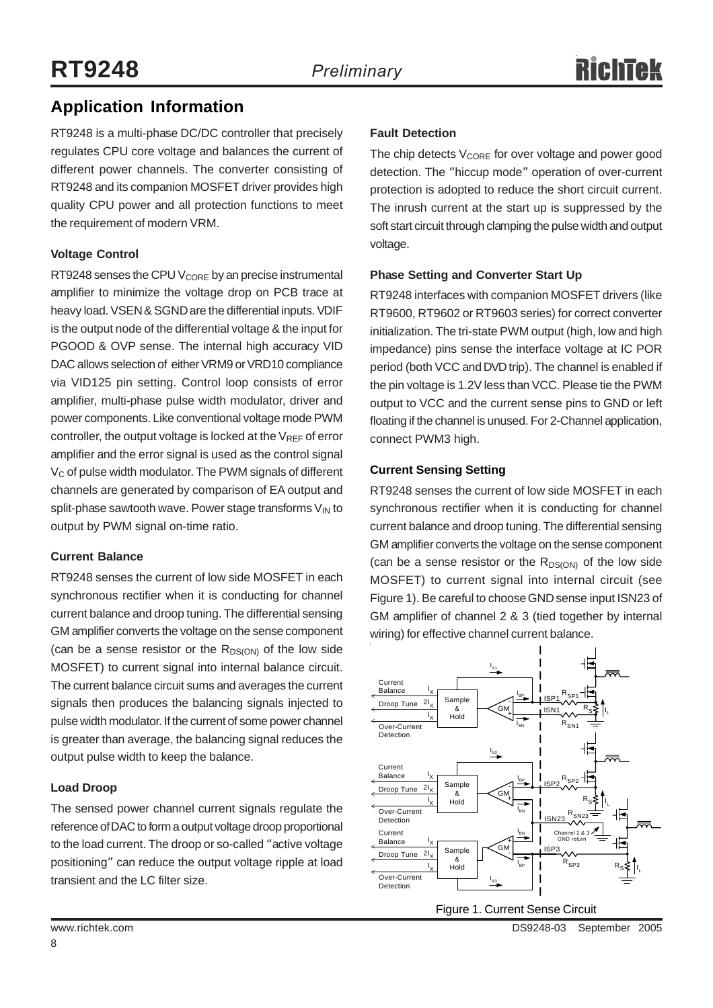### **Application Information**

RT9248 is a multi-phase DC/DC controller that precisely regulates CPU core voltage and balances the current of different power channels. The converter consisting of RT9248 and its companion MOSFET driver provides high quality CPU power and all protection functions to meet the requirement of modern VRM.

#### **Voltage Control**

RT9248 senses the CPU  $V_{\text{CORE}}$  by an precise instrumental amplifier to minimize the voltage drop on PCB trace at heavy load. VSEN & SGND are the differential inputs. VDIF is the output node of the differential voltage & the input for PGOOD & OVP sense. The internal high accuracy VID DAC allows selection of either VRM9 or VRD10 compliance via VID125 pin setting. Control loop consists of error amplifier, multi-phase pulse width modulator, driver and power components. Like conventional voltage mode PWM controller, the output voltage is locked at the  $V_{REF}$  of error amplifier and the error signal is used as the control signal  $V<sub>C</sub>$  of pulse width modulator. The PWM signals of different channels are generated by comparison of EA output and split-phase sawtooth wave. Power stage transforms  $V_{IN}$  to output by PWM signal on-time ratio.

#### **Current Balance**

RT9248 senses the current of low side MOSFET in each synchronous rectifier when it is conducting for channel current balance and droop tuning. The differential sensing GM amplifier converts the voltage on the sense component (can be a sense resistor or the  $R_{DS(ON)}$  of the low side MOSFET) to current signal into internal balance circuit. The current balance circuit sums and averages the current signals then produces the balancing signals injected to pulse width modulator. If the current of some power channel is greater than average, the balancing signal reduces the output pulse width to keep the balance.

#### **Load Droop**

The sensed power channel current signals regulate the reference of DAC to form a output voltage droop proportional to the load current. The droop or so-called "active voltage positioning" can reduce the output voltage ripple at load transient and the LC filter size.

#### **Fault Detection**

The chip detects  $V_{\text{CORF}}$  for over voltage and power good detection. The "hiccup mode" operation of over-current protection is adopted to reduce the short circuit current. The inrush current at the start up is suppressed by the soft start circuit through clamping the pulse width and output voltage.

#### **Phase Setting and Converter Start Up**

RT9248 interfaces with companion MOSFET drivers (like RT9600, RT9602 or RT9603 series) for correct converter initialization. The tri-state PWM output (high, low and high impedance) pins sense the interface voltage at IC POR period (both VCC and DVD trip). The channel is enabled if the pin voltage is 1.2V less than VCC. Please tie the PWM output to VCC and the current sense pins to GND or left floating if the channel is unused. For 2-Channel application, connect PWM3 high.

#### **Current Sensing Setting**

RT9248 senses the current of low side MOSFET in each synchronous rectifier when it is conducting for channel current balance and droop tuning. The differential sensing GM amplifier converts the voltage on the sense component (can be a sense resistor or the  $R_{DS(ON)}$  of the low side MOSFET) to current signal into internal circuit (see Figure 1). Be careful to choose GND sense input ISN23 of GM amplifier of channel 2 & 3 (tied together by internal wiring) for effective channel current balance.

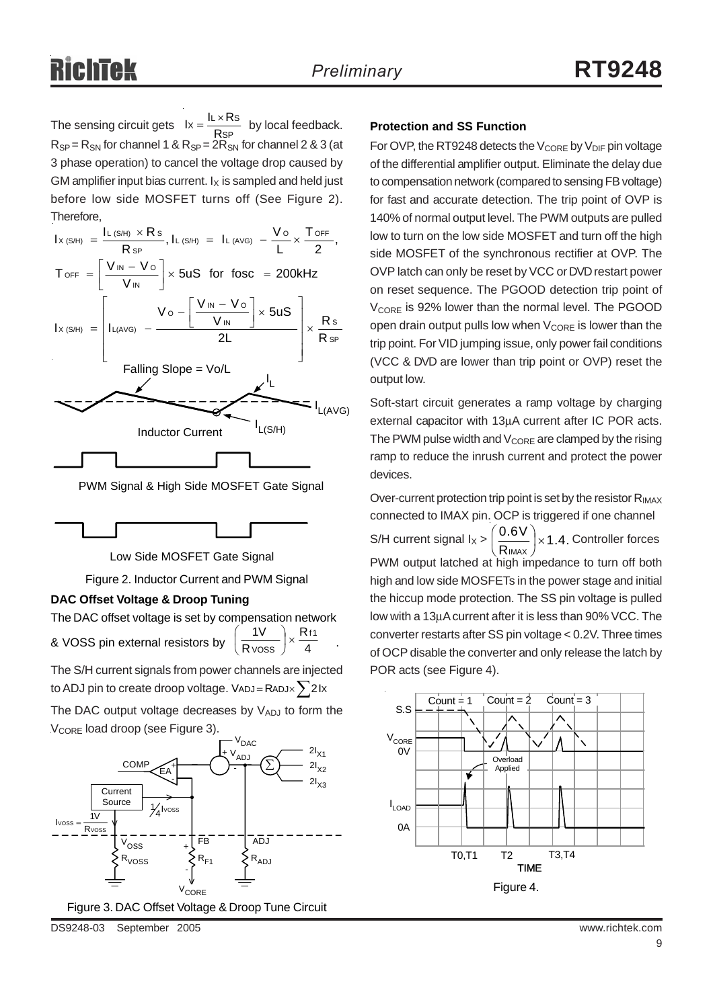The sensing circuit gets  $Ix = \frac{RX + RY}{RSP}$  by local feedback. **Protection and SS Function**  $R_{SP} = R_{SN}$  for channel 1 &  $R_{SP} = 2R_{SN}$  for channel 2 & 3 (at 3 phase operation) to cancel the voltage drop caused by GM amplifier input bias current.  $I_X$  is sampled and held just before low side MOSFET turns off (See Figure 2). Therefore,  $lx = \frac{IL \times Rs}{RsP}$ 

| $I_{X(S/H)} = \frac{I_{L(S/H)} \times \text{Rs}}{\text{Rs}}$ , $I_{L(S/H)} = I_{L(AVG)} - \frac{V_{O}}{I} \times \frac{\text{ToFF}}{2}$  |
|------------------------------------------------------------------------------------------------------------------------------------------|
| $T_{\text{OFF}} = \left[\frac{V_{\text{IN}} - V_{\text{O}}}{V_{\text{IN}}}\right] \times 5uS$ for fosc = 200kHz                          |
| $I_{X(S/H)}$ = $\left[ I_{L(AVG)} - \frac{V_0 - \left[ \frac{V_{IN} - V_0}{V_{IN}} \right] \times 5US}{2L} \right] \times \frac{Rs}{Rs}$ |
| Falling Slope = Vo/L<br>$I_{L(AVG)}$                                                                                                     |
| L(S/H)<br><b>Inductor Current</b>                                                                                                        |
|                                                                                                                                          |

PWM Signal & High Side MOSFET Gate Signal



Low Side MOSFET Gate Signal

Figure 2. Inductor Current and PWM Signal

#### **DAC Offset Voltage & Droop Tuning**

The DAC offset voltage is set by compensation network & VOSS pin external resistors by  $\left(\frac{1}{R \text{ voss}}\right)$  ×  $\frac{1}{4}$  . R R  $1V$   $\bigcap$  R<sub>f1</sub>  $\frac{iv}{\text{V} \text{OSS}}$   $\times$ ⎠  $\left(\frac{1}{2}\right)$ ⎝ ⎛

The S/H current signals from power channels are injected to ADJ pin to create droop voltage. VADJ = RADJ $\times$   $\sum$  2Ix

The DAC output voltage decreases by VADJ to form the  $V_{\text{CORF}}$  load droop (see Figure 3).



DS9248-03 September 2005 www.richtek.com

For OVP, the RT9248 detects the  $V_{\text{CORE}}$  by  $V_{\text{DIF}}$  pin voltage of the differential amplifier output. Eliminate the delay due to compensation network (compared to sensing FB voltage) for fast and accurate detection. The trip point of OVP is 140% of normal output level. The PWM outputs are pulled low to turn on the low side MOSFET and turn off the high side MOSFET of the synchronous rectifier at OVP. The OVP latch can only be reset by VCC or DVD restart power on reset sequence. The PGOOD detection trip point of V<sub>CORE</sub> is 92% lower than the normal level. The PGOOD open drain output pulls low when  $V_{\text{CORF}}$  is lower than the trip point. For VID jumping issue, only power fail conditions (VCC & DVD are lower than trip point or OVP) reset the output low.

Soft-start circuit generates a ramp voltage by charging external capacitor with 13μA current after IC POR acts. The PWM pulse width and  $V_{\text{CORE}}$  are clamped by the rising ramp to reduce the inrush current and protect the power devices.

Over-current protection trip point is set by the resistor  $R_{IMAX}$ connected to IMAX pin. OCP is triggered if one channel S/H current signal  $I_X > \left(\frac{0.6 V}{R_{IMAX}}\right) \times 1.4$ . Controller forces PWM output latched at high impedance to turn off both high and low side MOSFETs in the power stage and initial the hiccup mode protection. The SS pin voltage is pulled low with a 13μA current after it is less than 90% VCC. The converter restarts after SS pin voltage < 0.2V. Three times of OCP disable the converter and only release the latch by POR acts (see Figure 4).  $\frac{10 \text{ V}}{1 \text{ max}}$   $\times$ ⎠  $\left(\frac{0.6V}{2}\right)$ ⎝  $\big($ 

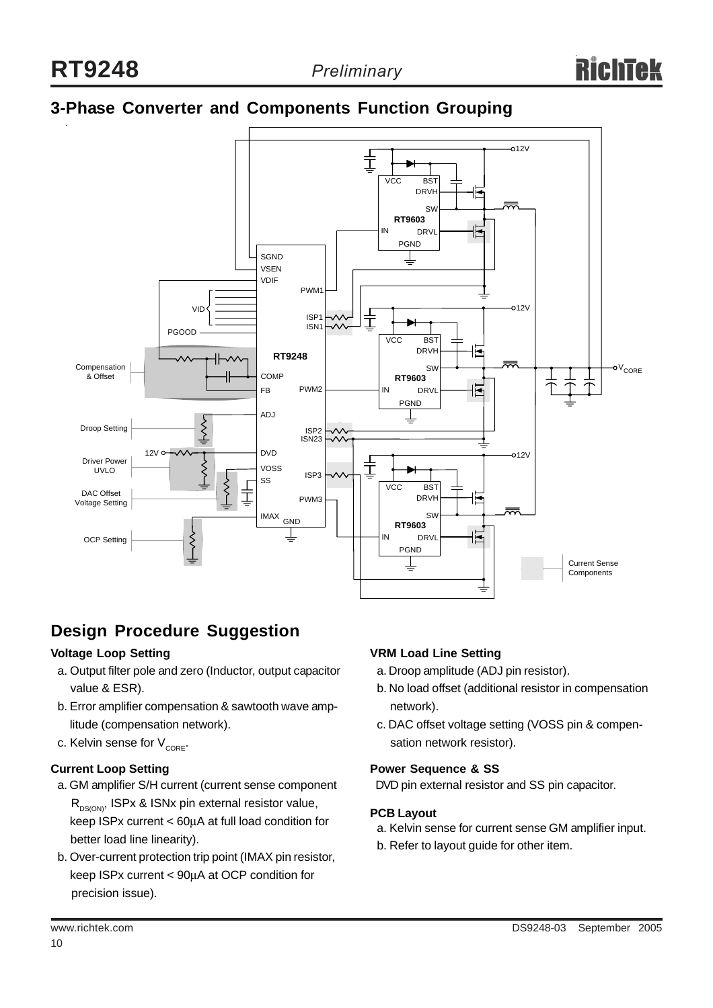### **3-Phase Converter and Components Function Grouping**



### **Design Procedure Suggestion**

#### **Voltage Loop Setting**

- a. Output filter pole and zero (Inductor, output capacitor value & ESR).
- b. Error amplifier compensation & sawtooth wave amp litude (compensation network).
- c. Kelvin sense for  $V_{CORE}$ .

#### **Current Loop Setting**

- a. GM amplifier S/H current (current sense component  $R_{DS(ON)}$ , ISPx & ISNx pin external resistor value, keep ISPx current < 60μA at full load condition for better load line linearity).
- b. Over-current protection trip point (IMAX pin resistor, keep ISPx current < 90μA at OCP condition for precision issue).

#### **VRM Load Line Setting**

- a. Droop amplitude (ADJ pin resistor).
- b. No load offset (additional resistor in compensation network).
- c. DAC offset voltage setting (VOSS pin & compen sation network resistor).

#### **Power Sequence & SS**

DVD pin external resistor and SS pin capacitor.

#### **PCB Layout**

- a. Kelvin sense for current sense GM amplifier input.
- b. Refer to layout guide for other item.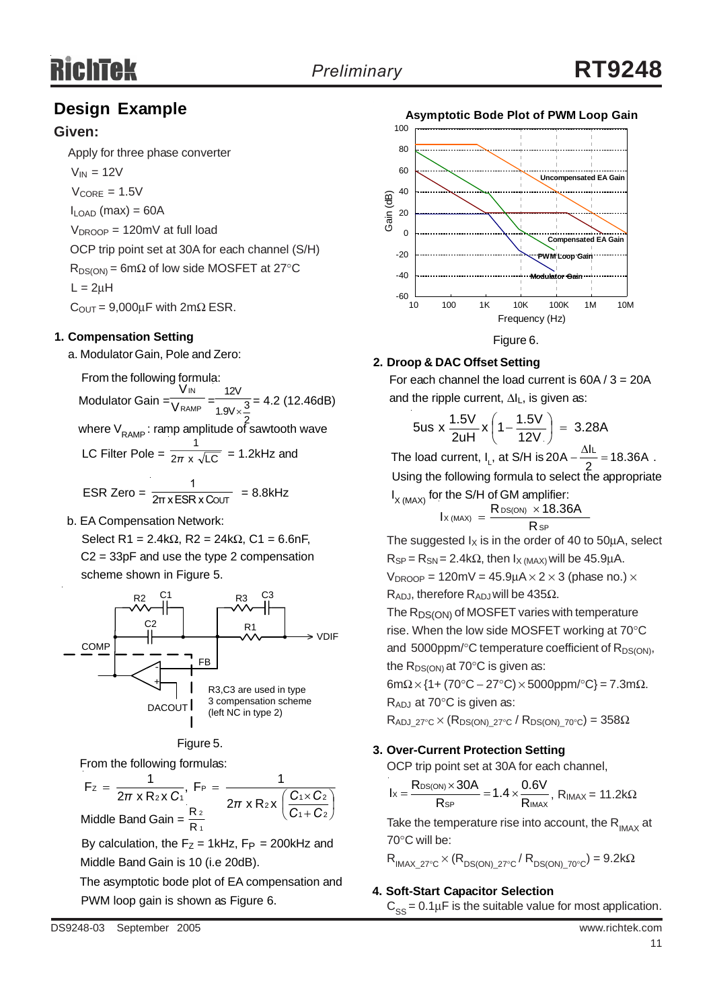### **Design Example**

#### **Given:**

Apply for three phase converter

 $V_{IN} = 12V$  $V_{\text{CORF}} = 1.5V$  $I_{\text{LOAD}}$  (max) = 60A

 $V_{DROOP} = 120$ mV at full load

OCP trip point set at 30A for each channel (S/H)

 $R_{DS(ON)} = 6m\Omega$  of low side MOSFET at 27°C  $L = 2uH$ 

 $C_{\text{OUT}} = 9,000 \mu F$  with  $2m\Omega$  ESR.

#### **1. Compensation Setting**

a. Modulator Gain, Pole and Zero:

From the following formula: Modulator Gain =  $\frac{1}{\sqrt{RAMP}} = \frac{1}{1.91 \times 3} = 4.2$  (12.46dB) where  $\mathrm{V}_{\mathrm{RAMP}}$ : ramp amplitude of sawtooth wave IN V V 12V 1 1.9V $\times\frac{3}{5}$ 

LC Filter Pole =  $\frac{1}{2\pi} \times \sqrt{LC}$  = 1.2kHz and *π*

ESR Zero =  $\frac{1}{2\pi x ESR \times \text{COUT}}$  = 8.8kHz 1 2π x ESR x C

b. EA Compensation Network:

Select R1 = 2.4kΩ, R2 = 24kΩ, C1 = 6.6nF, C2 = 33pF and use the type 2 compensation scheme shown in Figure 5.





From the following formulas:

 $\sqrt{2}$ ⎠  $\left(\frac{C_1 \times C_2}{2}\right)$ ⎝  $\big($ +  $=\frac{1}{2\pi \times R_2 \times C_1}$ , F<sub>P</sub> =  $\frac{1}{2\pi \times R_1 \times C_1}$ 1 + C 2  $2x \left( \frac{C_1 \times C_2}{2} \right)$ P 2 X U1 Z  $F_z = \frac{1}{2\pi x R_2 x C_1}, F_P = \frac{1}{2\pi x R_2 x}$ *C C*  $\pi$  x R<sub>2</sub> x C<sub>1</sub><sup> $\pi$ </sup> 2π x R<sub>2</sub> x  $\left(\frac{C_1 \times C_2}{C_1} \right)$ 1 2 Middle Band Gain =  $\frac{R}{R}$ 

By calculation, the  $F_Z = 1$ kHz,  $F_P = 200$ kHz and Middle Band Gain is 10 (i.e 20dB).

 The asymptotic bode plot of EA compensation and PWM loop gain is shown as Figure 6.



For each channel the load current is  $60A / 3 = 20A$ **2. Droop & DAC Offset Setting**

and the ripple current, 
$$
\Delta I_L
$$
, is given as:

$$
5us \times \frac{1.5V}{2uH} \times \left(1 - \frac{1.5V}{12V}\right) = 3.28A
$$

The load current, I<sub>L</sub>, at S/H is  $20A - \frac{\Delta I_L}{2} = 18.36A$ . Using the following formula to select the appropriate  $I_{X (MAX)}$  for the S/H of GM amplifier:

$$
I_{X\, (MAX)} = \frac{R_{DS(ON)} \times 18.36A}{R_{SP}}
$$

The suggested  $I_X$  is in the order of 40 to 50 $\mu$ A, select  $R_{SP} = R_{SN} = 2.4 k\Omega$ , then  $I_X$  (MAX) will be 45.9µA.

 $V_{\text{DROOP}} = 120 \text{mV} = 45.9 \text{uA} \times 2 \times 3 \text{ (phase no.)} \times$ 

R<sub>ADJ</sub>, therefore R<sub>ADJ</sub> will be 435Ω.

 $\mathsf{I} \times \mathsf{I} \mathsf{N}$ 

The  $R_{DS(ON)}$  of MOSFET varies with temperature rise. When the low side MOSFET working at 70°C and  $5000$ ppm/ $\degree$ C temperature coefficient of R<sub>DS(ON)</sub>, the  $R_{DS(ON)}$  at 70 $\degree$ C is given as:

 $6m\Omega \times \{1 + (70^{\circ}C - 27^{\circ}C) \times 5000$ ppm/ $^{\circ}C\} = 7.3m\Omega$ .

RADJ at 70°C is given as:

 $R_{ADJ-27°C} \times (R_{DS(ON)-27°C} / R_{DS(ON)-70°C}) = 358\Omega$ 

#### **3. Over-Current Protection Setting**

OCP trip point set at 30A for each channel,

$$
I_X=\frac{R_{DS(ON)}\times 30A}{R_{SP}}=1.4\times\frac{0.6V}{R_{IMAX}},\; R_{IMAX}=11.2k\Omega
$$

Take the temperature rise into account, the  $R_{\text{MAX}}$  at 70°C will be:

 $R_{IMAX-27°C} \times (R_{DS(ON)-27°C} / R_{DS(ON)-70°C}) = 9.2k\Omega$ 

#### **4. Soft-Start Capacitor Selection**

 $C_{SS} = 0.1 \mu F$  is the suitable value for most application.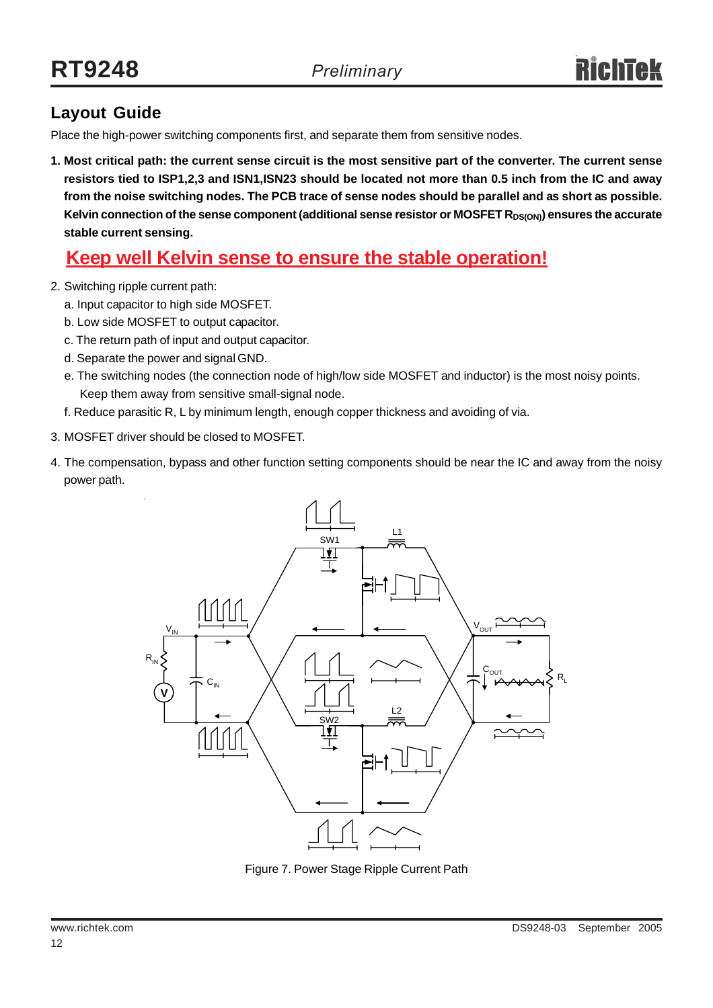### **Layout Guide**

Place the high-power switching components first, and separate them from sensitive nodes.

**1. Most critical path: the current sense circuit is the most sensitive part of the converter. The current sense resistors tied to ISP1,2,3 and ISN1,ISN23 should be located not more than 0.5 inch from the IC and away from the noise switching nodes. The PCB trace of sense nodes should be parallel and as short as possible.** Kelvin connection of the sense component (additional sense resistor or MOSFET R<sub>DS(ON)</sub>) ensures the accurate **stable current sensing.**

### **Keep well Kelvin sense to ensure the stable operation!**

- 2. Switching ripple current path:
	- a. Input capacitor to high side MOSFET.
	- b. Low side MOSFET to output capacitor.
	- c. The return path of input and output capacitor.
	- d. Separate the power and signal GND.
	- e. The switching nodes (the connection node of high/low side MOSFET and inductor) is the most noisy points. Keep them away from sensitive small-signal node.
	- f. Reduce parasitic R, L by minimum length, enough copper thickness and avoiding of via.
- 3. MOSFET driver should be closed to MOSFET.
- 4. The compensation, bypass and other function setting components should be near the IC and away from the noisy power path.



Figure 7. Power Stage Ripple Current Path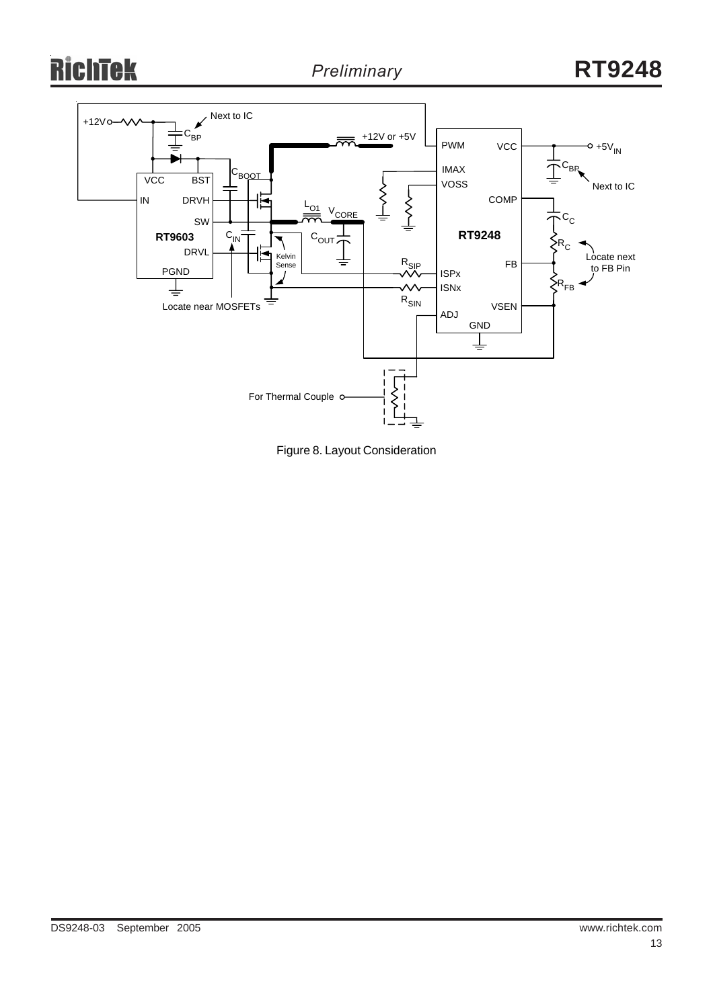### ichtek R



Figure 8. Layout Consideration